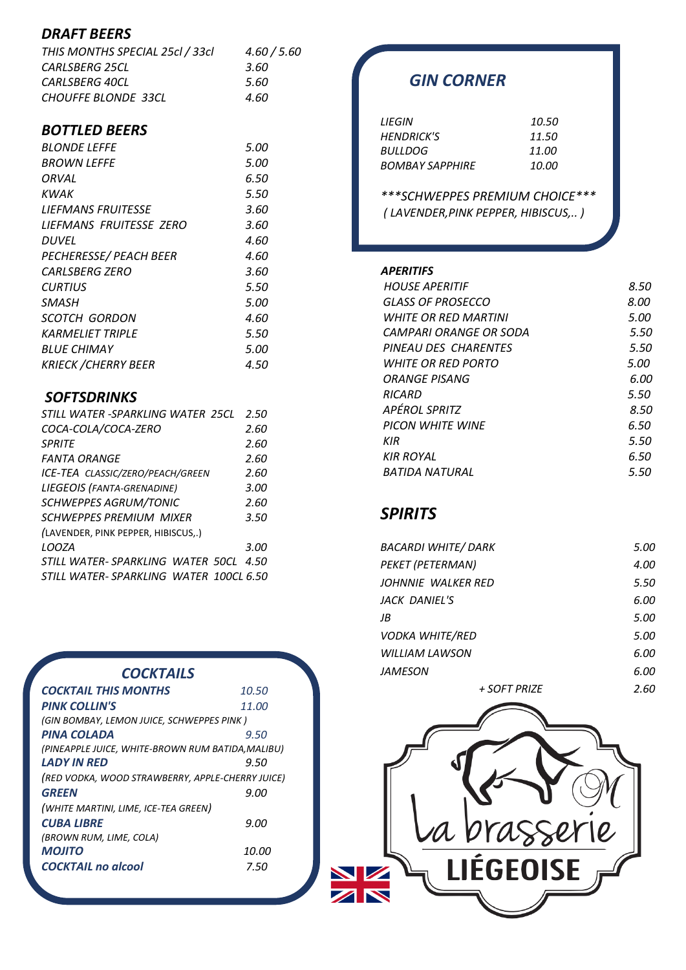### *DRAFT BEERS*

| THIS MONTHS SPECIAL 25cl / 33cl | 4.60 / 5.60 |
|---------------------------------|-------------|
| CARLSBERG 25CL                  | 3.60        |
| CARLSBERG 40CL                  | 5.60        |
| <b>CHOUFFE BLONDE 33CL</b>      | 4.60        |

### *BOTTLED BEERS*

| <b>BLONDE LEFFE</b>           | 5.00 |
|-------------------------------|------|
|                               |      |
| <b>BROWN LEFFE</b>            | 5.00 |
| ORVAL                         | 6.50 |
| KWAK                          | 5.50 |
| <b>LIEFMANS FRUITESSE</b>     | 3.60 |
| LIEFMANS FRUITESSE ZERO       | 3.60 |
| <b>DUVEL</b>                  | 4.60 |
| <b>PECHERESSE/ PEACH BEER</b> | 4.60 |
| CARLSBERG ZERO                | 3.60 |
| <b>CURTIUS</b>                | 5.50 |
| SMASH                         | 5.00 |
| SCOTCH GORDON                 | 4.60 |
| <b>KARMELIET TRIPLE</b>       | 5.50 |
| <b>BLUE CHIMAY</b>            | 5.00 |
| <b>KRIECK / CHERRY BEER</b>   | 4.50 |

### *SOFTSDRINKS*

| STILL WATER -SPARKLING WATER 25CL       | 2.50 |
|-----------------------------------------|------|
| COCA-COLA/COCA-ZERO                     | 2.60 |
| SPRITF                                  | 2.60 |
| <b>FANTA ORANGE</b>                     | 2.60 |
| ICE-TEA CLASSIC/ZERO/PEACH/GREEN        | 2.60 |
| LIEGEOIS (FANTA-GRENADINE)              | 3.00 |
| SCHWEPPES AGRUM/TONIC                   | 2.60 |
| SCHWEPPES PREMIUM MIXER                 | 3.50 |
| (LAVENDER, PINK PEPPER, HIBISCUS,.)     |      |
| <b>LOOZA</b>                            | 3.00 |
| STILL WATER-SPARKLING WATER 50CL 4.50   |      |
| STILL WATER- SPARKLING WATER 100CL 6.50 |      |

#### *COCKTAILS*

| <b>COCKTAIL THIS MONTHS</b>                       | 10.50 |
|---------------------------------------------------|-------|
| <b>PINK COLLIN'S</b>                              | 11.00 |
| (GIN BOMBAY, LEMON JUICE, SCHWEPPES PINK)         |       |
| PINA COLADA                                       | 9.50  |
| (PINEAPPLE JUICE, WHITE-BROWN RUM BATIDA, MALIBU) |       |
| <b>LADY IN RFD</b>                                | 9.50  |
| (RED VODKA, WOOD STRAWBERRY, APPLE-CHERRY JUICE)  |       |
| <b>GREEN</b>                                      | 9.00  |
| (WHITE MARTINI, LIME, ICE-TEA GREEN)              |       |
| <b>CUBA LIBRE</b>                                 | 9.00  |
| (BROWN RUM, LIME, COLA)                           |       |
| <b>MOJITO</b>                                     | 10.00 |
| <b>COCKTAIL</b> no alcool                         | 7.50  |
|                                                   |       |

## *GIN CORNER*

| LIEGIN                 | 10.50 |
|------------------------|-------|
| HFNDRICK'S             | 11.50 |
| BULI DOG               | 11.00 |
| <b>BOMBAY SAPPHIRE</b> | 10.00 |

*\*\*\*SCHWEPPES PREMIUM CHOICE\*\*\* ( LAVENDER,PINK PEPPER, HIBISCUS,.. )*

#### *APERITIFS*

| <b>HOUSE APERITIF</b>              | 8.50 |
|------------------------------------|------|
| GLASS OF PROSECCO                  | 8.00 |
| <i><b>WHITE OR RED MARTINI</b></i> | 5.00 |
| CAMPARI ORANGE OR SODA             | 5.50 |
| PINEAU DES CHARENTES               | 5.50 |
| <i>WHITE OR RED PORTO</i>          | 5.00 |
| ORANGE PISANG                      | 6.00 |
| RICARD                             | 5.50 |
| APÉROL SPRITZ                      | 8.50 |
| <b>PICON WHITE WINE</b>            | 6.50 |
| KIR                                | 5.50 |
| <b>KIR ROYAL</b>                   | 6.50 |
| BATIDA NATURAL                     | 5.50 |
|                                    |      |

## *SPIRITS*

| <b>BACARDI WHITE/DARK</b> | 5.00 |
|---------------------------|------|
| PEKET (PETERMAN)          | 4.00 |
| JOHNNIE WALKER RED        | 5.50 |
| JACK DANIEL'S             | 6.00 |
| JB                        | 5.00 |
| <b>VODKA WHITE/RED</b>    | 5.00 |
| WILLIAM LAWSON            | 6.00 |
| JAMESON                   | 6.00 |
| + SOFT PRIZE              | 2.60 |

brasserie N  $\overline{\mathbb{Z}}$